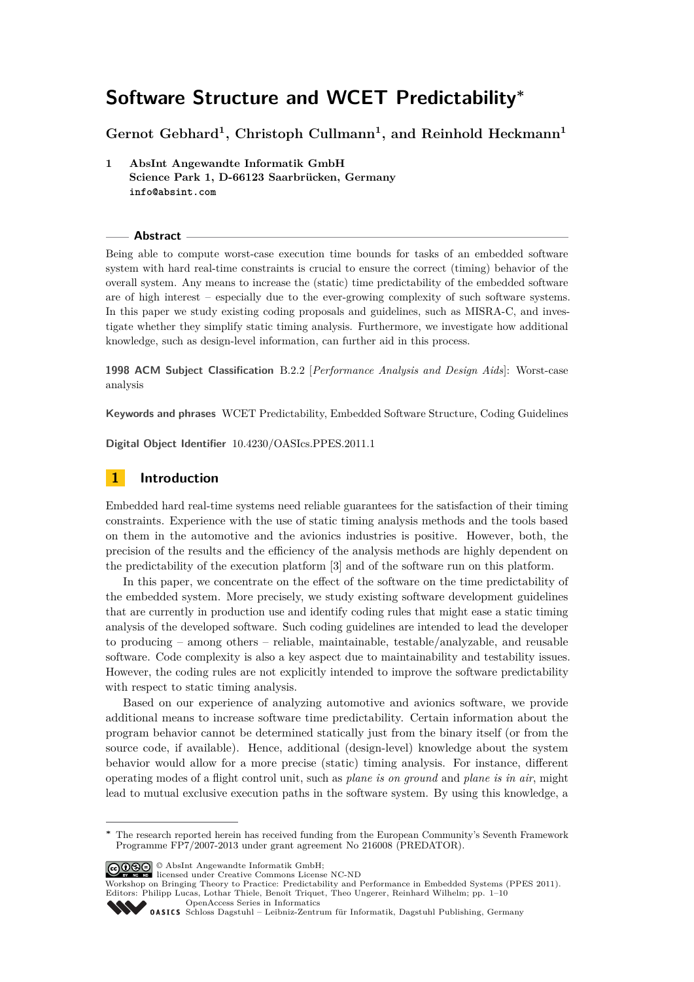**Gernot Gebhard<sup>1</sup> , Christoph Cullmann<sup>1</sup> , and Reinhold Heckmann<sup>1</sup>**

**1 AbsInt Angewandte Informatik GmbH Science Park 1, D-66123 Saarbrücken, Germany info@absint.com**

**Abstract**

Being able to compute worst-case execution time bounds for tasks of an embedded software system with hard real-time constraints is crucial to ensure the correct (timing) behavior of the overall system. Any means to increase the (static) time predictability of the embedded software are of high interest – especially due to the ever-growing complexity of such software systems. In this paper we study existing coding proposals and guidelines, such as MISRA-C, and investigate whether they simplify static timing analysis. Furthermore, we investigate how additional knowledge, such as design-level information, can further aid in this process.

**1998 ACM Subject Classification** B.2.2 [*Performance Analysis and Design Aids*]: Worst-case analysis

**Keywords and phrases** WCET Predictability, Embedded Software Structure, Coding Guidelines

**Digital Object Identifier** [10.4230/OASIcs.PPES.2011.1](http://dx.doi.org/10.4230/OASIcs.PPES.2011.1)

# **1 Introduction**

Embedded hard real-time systems need reliable guarantees for the satisfaction of their timing constraints. Experience with the use of static timing analysis methods and the tools based on them in the automotive and the avionics industries is positive. However, both, the precision of the results and the efficiency of the analysis methods are highly dependent on the predictability of the execution platform [\[3\]](#page-8-0) and of the software run on this platform.

In this paper, we concentrate on the effect of the software on the time predictability of the embedded system. More precisely, we study existing software development guidelines that are currently in production use and identify coding rules that might ease a static timing analysis of the developed software. Such coding guidelines are intended to lead the developer to producing – among others – reliable, maintainable, testable/analyzable, and reusable software. Code complexity is also a key aspect due to maintainability and testability issues. However, the coding rules are not explicitly intended to improve the software predictability with respect to static timing analysis.

Based on our experience of analyzing automotive and avionics software, we provide additional means to increase software time predictability. Certain information about the program behavior cannot be determined statically just from the binary itself (or from the source code, if available). Hence, additional (design-level) knowledge about the system behavior would allow for a more precise (static) timing analysis. For instance, different operating modes of a flight control unit, such as *plane is on ground* and *plane is in air*, might lead to mutual exclusive execution paths in the software system. By using this knowledge, a

© AbsInt Angewandte Informatik GmbH; licensed under Creative Commons License NC-ND

Workshop on Bringing Theory to Practice: Predictability and Performance in Embedded Systems (PPES 2011). Editors: Philipp Lucas, Lothar Thiele, Benoît Triquet, Theo Ungerer, Reinhard Wilhelm; pp. 1[–10](#page-9-0)

[OpenAccess Series in Informatics](http://www.dagstuhl.de/oasics/)



**<sup>∗</sup>** The research reported herein has received funding from the European Community's Seventh Framework Programme FP7/2007-2013 under grant agreement No 216008 (PREDATOR).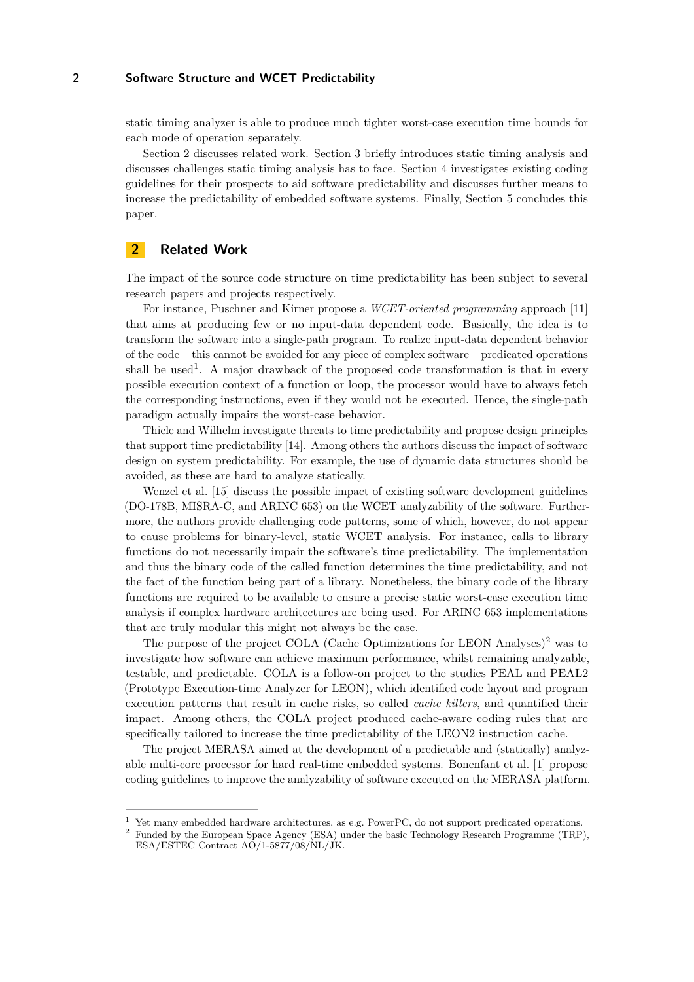static timing analyzer is able to produce much tighter worst-case execution time bounds for each mode of operation separately.

Section [2](#page-1-0) discusses related work. Section [3](#page-2-0) briefly introduces static timing analysis and discusses challenges static timing analysis has to face. Section [4](#page-4-0) investigates existing coding guidelines for their prospects to aid software predictability and discusses further means to increase the predictability of embedded software systems. Finally, Section [5](#page-8-1) concludes this paper.

# <span id="page-1-0"></span>**2 Related Work**

The impact of the source code structure on time predictability has been subject to several research papers and projects respectively.

For instance, Puschner and Kirner propose a *WCET-oriented programming* approach [\[11\]](#page-9-1) that aims at producing few or no input-data dependent code. Basically, the idea is to transform the software into a single-path program. To realize input-data dependent behavior of the code – this cannot be avoided for any piece of complex software – predicated operations shall be used<sup>1</sup>. A major drawback of the proposed code transformation is that in every possible execution context of a function or loop, the processor would have to always fetch the corresponding instructions, even if they would not be executed. Hence, the single-path paradigm actually impairs the worst-case behavior.

Thiele and Wilhelm investigate threats to time predictability and propose design principles that support time predictability [\[14\]](#page-9-2). Among others the authors discuss the impact of software design on system predictability. For example, the use of dynamic data structures should be avoided, as these are hard to analyze statically.

Wenzel et al. [\[15\]](#page-9-3) discuss the possible impact of existing software development guidelines (DO-178B, MISRA-C, and ARINC 653) on the WCET analyzability of the software. Furthermore, the authors provide challenging code patterns, some of which, however, do not appear to cause problems for binary-level, static WCET analysis. For instance, calls to library functions do not necessarily impair the software's time predictability. The implementation and thus the binary code of the called function determines the time predictability, and not the fact of the function being part of a library. Nonetheless, the binary code of the library functions are required to be available to ensure a precise static worst-case execution time analysis if complex hardware architectures are being used. For ARINC 653 implementations that are truly modular this might not always be the case.

The purpose of the project COLA (Cache Optimizations for LEON Analyses) $^2$  was to investigate how software can achieve maximum performance, whilst remaining analyzable, testable, and predictable. COLA is a follow-on project to the studies PEAL and PEAL2 (Prototype Execution-time Analyzer for LEON), which identified code layout and program execution patterns that result in cache risks, so called *cache killers*, and quantified their impact. Among others, the COLA project produced cache-aware coding rules that are specifically tailored to increase the time predictability of the LEON2 instruction cache.

The project MERASA aimed at the development of a predictable and (statically) analyzable multi-core processor for hard real-time embedded systems. Bonenfant et al. [\[1\]](#page-8-2) propose coding guidelines to improve the analyzability of software executed on the MERASA platform.

<sup>&</sup>lt;sup>1</sup> Yet many embedded hardware architectures, as e.g. PowerPC, do not support predicated operations.<br><sup>2</sup> European by the European Space Agency (ESA) under the hasia Technology Because Because (TDD

<sup>2</sup> Funded by the European Space Agency (ESA) under the basic Technology Research Programme (TRP), ESA/ESTEC Contract AO/1-5877/08/NL/JK.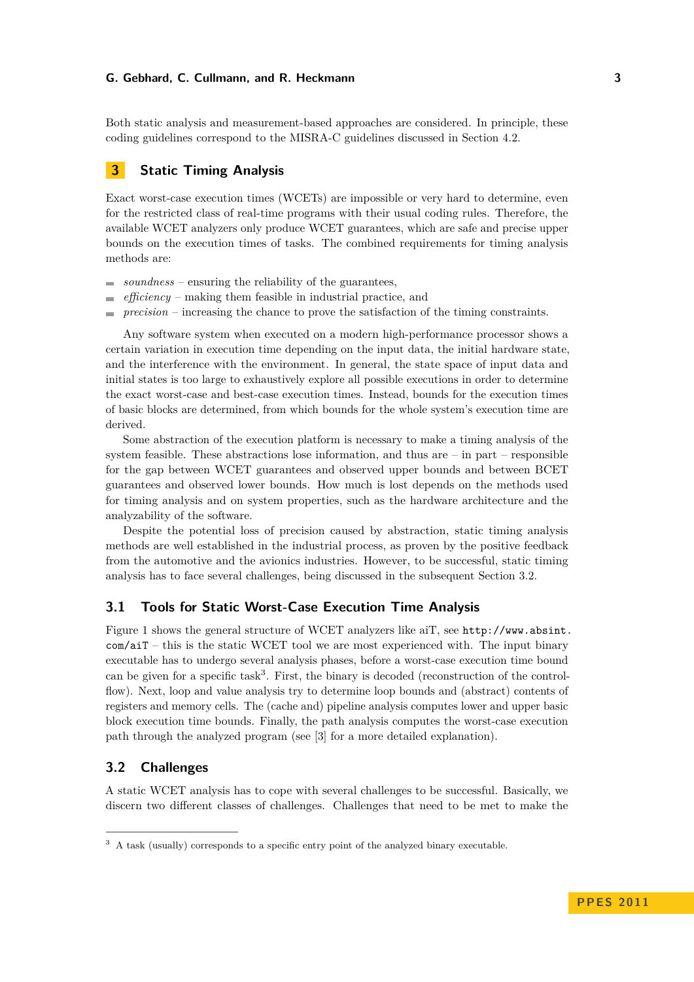Both static analysis and measurement-based approaches are considered. In principle, these coding guidelines correspond to the MISRA-C guidelines discussed in Section [4.2.](#page-4-1)

## <span id="page-2-0"></span>**3 Static Timing Analysis**

Exact worst-case execution times (WCETs) are impossible or very hard to determine, even for the restricted class of real-time programs with their usual coding rules. Therefore, the available WCET analyzers only produce WCET guarantees, which are safe and precise upper bounds on the execution times of tasks. The combined requirements for timing analysis methods are:

- *soundness* ensuring the reliability of the guarantees,  $\sim$
- *efficiency* making them feasible in industrial practice, and
- *precision* increasing the chance to prove the satisfaction of the timing constraints.

Any software system when executed on a modern high-performance processor shows a certain variation in execution time depending on the input data, the initial hardware state, and the interference with the environment. In general, the state space of input data and initial states is too large to exhaustively explore all possible executions in order to determine the exact worst-case and best-case execution times. Instead, bounds for the execution times of basic blocks are determined, from which bounds for the whole system's execution time are derived.

Some abstraction of the execution platform is necessary to make a timing analysis of the system feasible. These abstractions lose information, and thus are – in part – responsible for the gap between WCET guarantees and observed upper bounds and between BCET guarantees and observed lower bounds. How much is lost depends on the methods used for timing analysis and on system properties, such as the hardware architecture and the analyzability of the software.

Despite the potential loss of precision caused by abstraction, static timing analysis methods are well established in the industrial process, as proven by the positive feedback from the automotive and the avionics industries. However, to be successful, static timing analysis has to face several challenges, being discussed in the subsequent Section [3.2.](#page-2-1)

# **3.1 Tools for Static Worst-Case Execution Time Analysis**

Figure [1](#page-3-0) shows the general structure of WCET analyzers like aiT, see [http://www.absint.](http://www.absint.com/aiT)  $com/ait$  – this is the static WCET tool we are most experienced with. The input binary executable has to undergo several analysis phases, before a worst-case execution time bound can be given for a specific task<sup>3</sup>. First, the binary is decoded (reconstruction of the controlflow). Next, loop and value analysis try to determine loop bounds and (abstract) contents of registers and memory cells. The (cache and) pipeline analysis computes lower and upper basic block execution time bounds. Finally, the path analysis computes the worst-case execution path through the analyzed program (see [\[3\]](#page-8-0) for a more detailed explanation).

# <span id="page-2-1"></span>**3.2 Challenges**

A static WCET analysis has to cope with several challenges to be successful. Basically, we discern two different classes of challenges. Challenges that need to be met to make the

<sup>&</sup>lt;sup>3</sup> A task (usually) corresponds to a specific entry point of the analyzed binary executable.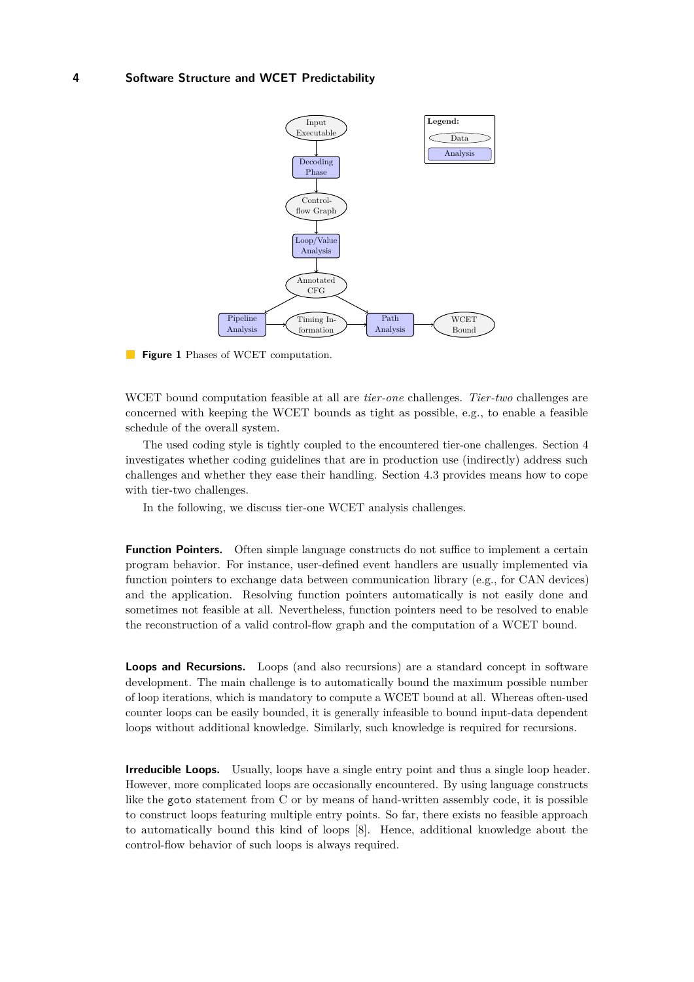<span id="page-3-0"></span>

**Figure 1** Phases of WCET computation.

WCET bound computation feasible at all are *tier-one* challenges. *Tier-two* challenges are concerned with keeping the WCET bounds as tight as possible, e.g., to enable a feasible schedule of the overall system.

The used coding style is tightly coupled to the encountered tier-one challenges. Section [4](#page-4-0) investigates whether coding guidelines that are in production use (indirectly) address such challenges and whether they ease their handling. Section [4.3](#page-5-0) provides means how to cope with tier-two challenges.

In the following, we discuss tier-one WCET analysis challenges.

**Function Pointers.** Often simple language constructs do not suffice to implement a certain program behavior. For instance, user-defined event handlers are usually implemented via function pointers to exchange data between communication library (e.g., for CAN devices) and the application. Resolving function pointers automatically is not easily done and sometimes not feasible at all. Nevertheless, function pointers need to be resolved to enable the reconstruction of a valid control-flow graph and the computation of a WCET bound.

**Loops and Recursions.** Loops (and also recursions) are a standard concept in software development. The main challenge is to automatically bound the maximum possible number of loop iterations, which is mandatory to compute a WCET bound at all. Whereas often-used counter loops can be easily bounded, it is generally infeasible to bound input-data dependent loops without additional knowledge. Similarly, such knowledge is required for recursions.

**Irreducible Loops.** Usually, loops have a single entry point and thus a single loop header. However, more complicated loops are occasionally encountered. By using language constructs like the goto statement from C or by means of hand-written assembly code, it is possible to construct loops featuring multiple entry points. So far, there exists no feasible approach to automatically bound this kind of loops [\[8\]](#page-9-4). Hence, additional knowledge about the control-flow behavior of such loops is always required.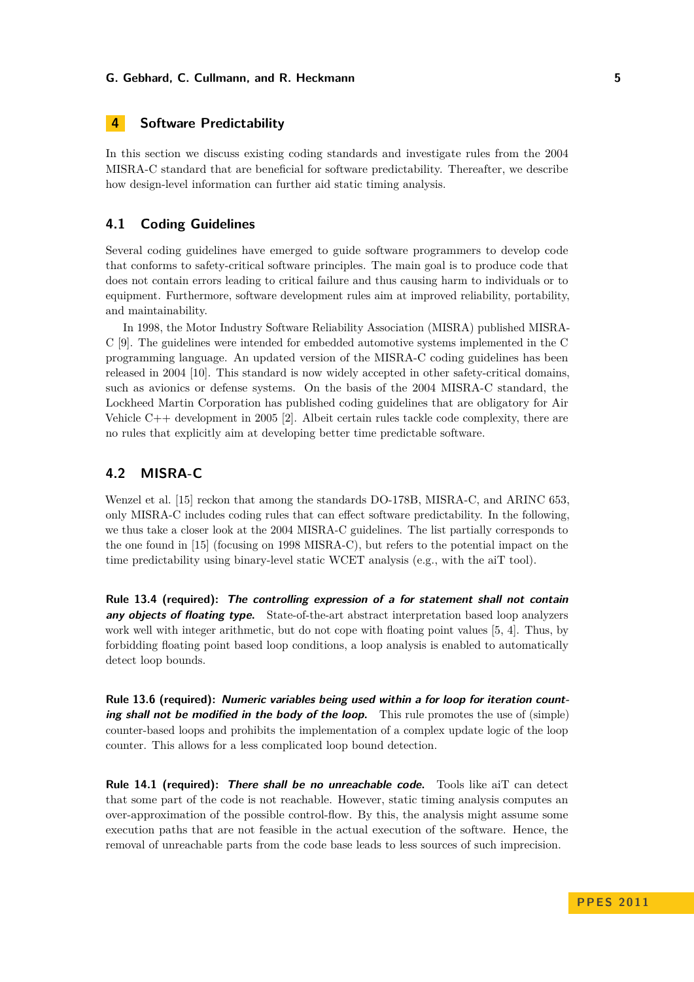# <span id="page-4-0"></span>**4 Software Predictability**

In this section we discuss existing coding standards and investigate rules from the 2004 MISRA-C standard that are beneficial for software predictability. Thereafter, we describe how design-level information can further aid static timing analysis.

## **4.1 Coding Guidelines**

Several coding guidelines have emerged to guide software programmers to develop code that conforms to safety-critical software principles. The main goal is to produce code that does not contain errors leading to critical failure and thus causing harm to individuals or to equipment. Furthermore, software development rules aim at improved reliability, portability, and maintainability.

In 1998, the Motor Industry Software Reliability Association (MISRA) published MISRA-C [\[9\]](#page-9-5). The guidelines were intended for embedded automotive systems implemented in the C programming language. An updated version of the MISRA-C coding guidelines has been released in 2004 [\[10\]](#page-9-6). This standard is now widely accepted in other safety-critical domains, such as avionics or defense systems. On the basis of the 2004 MISRA-C standard, the Lockheed Martin Corporation has published coding guidelines that are obligatory for Air Vehicle C++ development in 2005 [\[2\]](#page-8-3). Albeit certain rules tackle code complexity, there are no rules that explicitly aim at developing better time predictable software.

### <span id="page-4-1"></span>**4.2 MISRA-C**

Wenzel et al. [\[15\]](#page-9-3) reckon that among the standards DO-178B, MISRA-C, and ARINC 653, only MISRA-C includes coding rules that can effect software predictability. In the following, we thus take a closer look at the 2004 MISRA-C guidelines. The list partially corresponds to the one found in [\[15\]](#page-9-3) (focusing on 1998 MISRA-C), but refers to the potential impact on the time predictability using binary-level static WCET analysis (e.g., with the aiT tool).

**Rule 13.4 (required): The controlling expression of a for statement shall not contain any objects of floating type.** State-of-the-art abstract interpretation based loop analyzers work well with integer arithmetic, but do not cope with floating point values [\[5,](#page-9-7) [4\]](#page-9-8). Thus, by forbidding floating point based loop conditions, a loop analysis is enabled to automatically detect loop bounds.

**Rule 13.6 (required): Numeric variables being used within a for loop for iteration counting shall not be modified in the body of the loop.** This rule promotes the use of (simple) counter-based loops and prohibits the implementation of a complex update logic of the loop counter. This allows for a less complicated loop bound detection.

**Rule 14.1 (required): There shall be no unreachable code.** Tools like aiT can detect that some part of the code is not reachable. However, static timing analysis computes an over-approximation of the possible control-flow. By this, the analysis might assume some execution paths that are not feasible in the actual execution of the software. Hence, the removal of unreachable parts from the code base leads to less sources of such imprecision.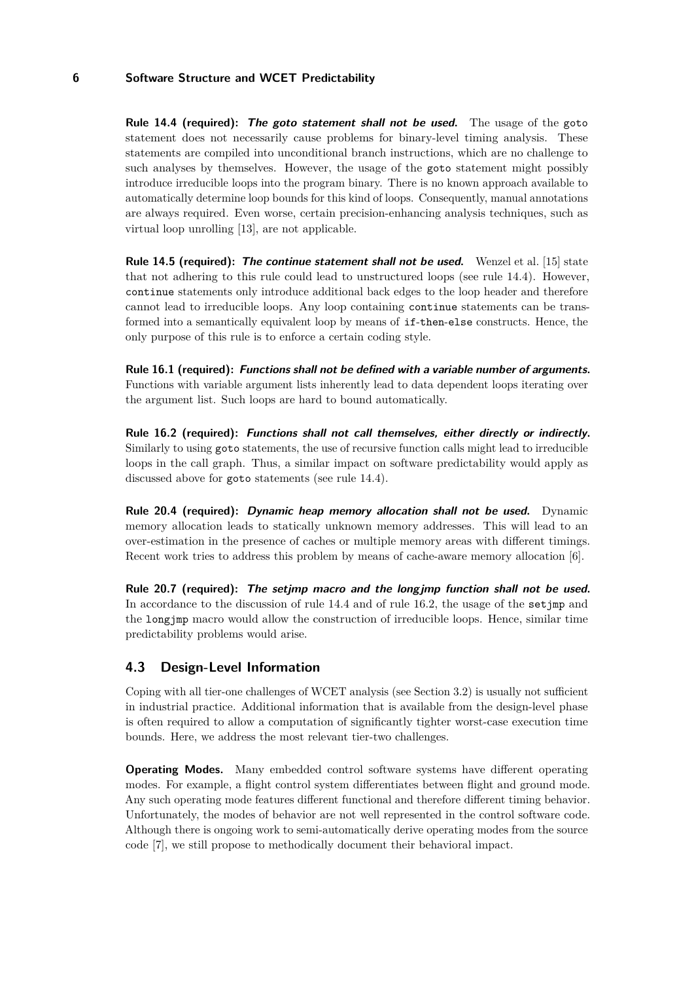**Rule 14.4 (required): The goto statement shall not be used.** The usage of the goto statement does not necessarily cause problems for binary-level timing analysis. These statements are compiled into unconditional branch instructions, which are no challenge to such analyses by themselves. However, the usage of the goto statement might possibly introduce irreducible loops into the program binary. There is no known approach available to automatically determine loop bounds for this kind of loops. Consequently, manual annotations are always required. Even worse, certain precision-enhancing analysis techniques, such as virtual loop unrolling [\[13\]](#page-9-9), are not applicable.

**Rule 14.5 (required): The continue statement shall not be used.** Wenzel et al. [\[15\]](#page-9-3) state that not adhering to this rule could lead to unstructured loops (see rule 14.4). However, continue statements only introduce additional back edges to the loop header and therefore cannot lead to irreducible loops. Any loop containing continue statements can be transformed into a semantically equivalent loop by means of if-then-else constructs. Hence, the only purpose of this rule is to enforce a certain coding style.

**Rule 16.1 (required): Functions shall not be defined with a variable number of arguments.** Functions with variable argument lists inherently lead to data dependent loops iterating over the argument list. Such loops are hard to bound automatically.

**Rule 16.2 (required): Functions shall not call themselves, either directly or indirectly.** Similarly to using goto statements, the use of recursive function calls might lead to irreducible loops in the call graph. Thus, a similar impact on software predictability would apply as discussed above for goto statements (see rule 14.4).

**Rule 20.4 (required): Dynamic heap memory allocation shall not be used.** Dynamic memory allocation leads to statically unknown memory addresses. This will lead to an over-estimation in the presence of caches or multiple memory areas with different timings. Recent work tries to address this problem by means of cache-aware memory allocation [\[6\]](#page-9-10).

**Rule 20.7 (required): The setjmp macro and the longjmp function shall not be used.** In accordance to the discussion of rule 14.4 and of rule 16.2, the usage of the set  $\text{imp}$  and the longjmp macro would allow the construction of irreducible loops. Hence, similar time predictability problems would arise.

### <span id="page-5-0"></span>**4.3 Design-Level Information**

Coping with all tier-one challenges of WCET analysis (see Section [3.2\)](#page-2-1) is usually not sufficient in industrial practice. Additional information that is available from the design-level phase is often required to allow a computation of significantly tighter worst-case execution time bounds. Here, we address the most relevant tier-two challenges.

**Operating Modes.** Many embedded control software systems have different operating modes. For example, a flight control system differentiates between flight and ground mode. Any such operating mode features different functional and therefore different timing behavior. Unfortunately, the modes of behavior are not well represented in the control software code. Although there is ongoing work to semi-automatically derive operating modes from the source code [\[7\]](#page-9-11), we still propose to methodically document their behavioral impact.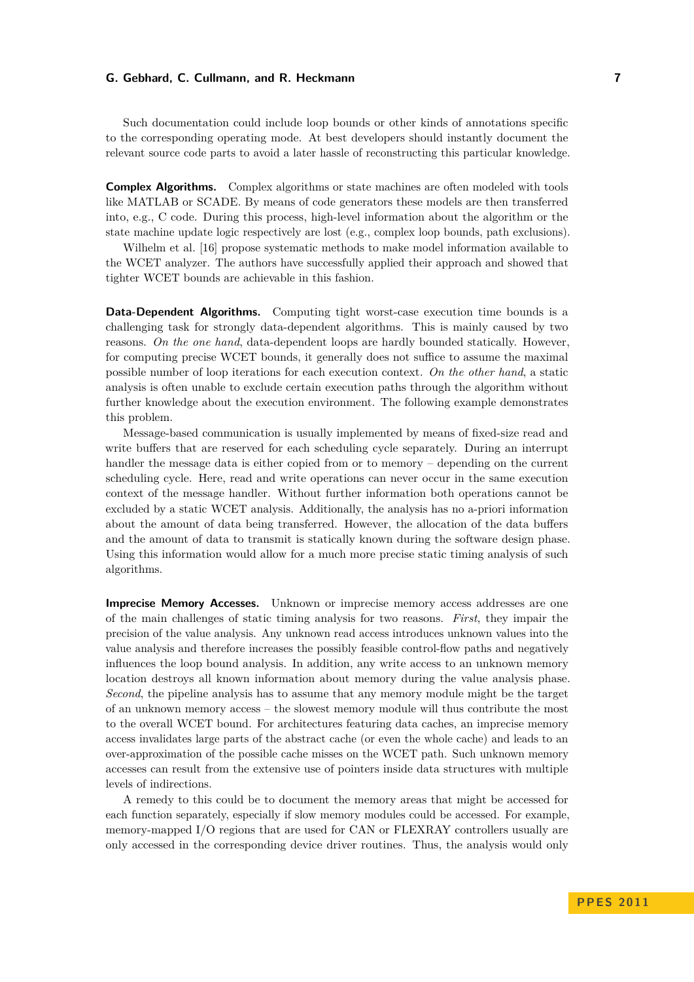Such documentation could include loop bounds or other kinds of annotations specific to the corresponding operating mode. At best developers should instantly document the relevant source code parts to avoid a later hassle of reconstructing this particular knowledge.

**Complex Algorithms.** Complex algorithms or state machines are often modeled with tools like MATLAB or SCADE. By means of code generators these models are then transferred into, e.g., C code. During this process, high-level information about the algorithm or the state machine update logic respectively are lost (e.g., complex loop bounds, path exclusions).

Wilhelm et al. [\[16\]](#page-9-12) propose systematic methods to make model information available to the WCET analyzer. The authors have successfully applied their approach and showed that tighter WCET bounds are achievable in this fashion.

**Data-Dependent Algorithms.** Computing tight worst-case execution time bounds is a challenging task for strongly data-dependent algorithms. This is mainly caused by two reasons. *On the one hand*, data-dependent loops are hardly bounded statically. However, for computing precise WCET bounds, it generally does not suffice to assume the maximal possible number of loop iterations for each execution context. *On the other hand*, a static analysis is often unable to exclude certain execution paths through the algorithm without further knowledge about the execution environment. The following example demonstrates this problem.

Message-based communication is usually implemented by means of fixed-size read and write buffers that are reserved for each scheduling cycle separately. During an interrupt handler the message data is either copied from or to memory – depending on the current scheduling cycle. Here, read and write operations can never occur in the same execution context of the message handler. Without further information both operations cannot be excluded by a static WCET analysis. Additionally, the analysis has no a-priori information about the amount of data being transferred. However, the allocation of the data buffers and the amount of data to transmit is statically known during the software design phase. Using this information would allow for a much more precise static timing analysis of such algorithms.

**Imprecise Memory Accesses.** Unknown or imprecise memory access addresses are one of the main challenges of static timing analysis for two reasons. *First*, they impair the precision of the value analysis. Any unknown read access introduces unknown values into the value analysis and therefore increases the possibly feasible control-flow paths and negatively influences the loop bound analysis. In addition, any write access to an unknown memory location destroys all known information about memory during the value analysis phase. *Second*, the pipeline analysis has to assume that any memory module might be the target of an unknown memory access – the slowest memory module will thus contribute the most to the overall WCET bound. For architectures featuring data caches, an imprecise memory access invalidates large parts of the abstract cache (or even the whole cache) and leads to an over-approximation of the possible cache misses on the WCET path. Such unknown memory accesses can result from the extensive use of pointers inside data structures with multiple levels of indirections.

A remedy to this could be to document the memory areas that might be accessed for each function separately, especially if slow memory modules could be accessed. For example, memory-mapped I/O regions that are used for CAN or FLEXRAY controllers usually are only accessed in the corresponding device driver routines. Thus, the analysis would only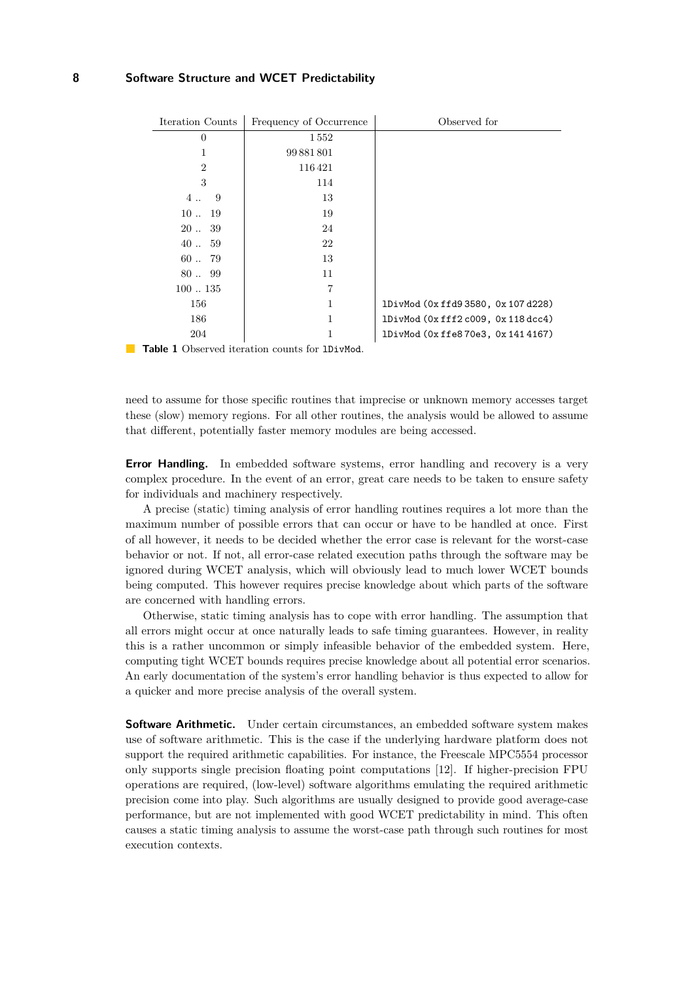<span id="page-7-0"></span>

| Iteration Counts  | Frequency of Occurrence | Observed for                    |
|-------------------|-------------------------|---------------------------------|
| 0                 | 1552                    |                                 |
| 1                 | 99 881 801              |                                 |
| $\overline{2}$    | 116421                  |                                 |
| 3                 | 114                     |                                 |
| 4<br>9            | 13                      |                                 |
| $10 \ldots$<br>19 | 19                      |                                 |
| 2039              | 24                      |                                 |
| $40-.59$          | 22                      |                                 |
| 6079              | 13                      |                                 |
| 8099              | 11                      |                                 |
| 100135            | 7                       |                                 |
| 156               | 1                       | 1DivMod (0xffd93580, 0x107d228) |
| 186               | 1                       | 1DivMod (0xfff2c009, 0x118dcc4) |
| 204               | 1                       | 1DivMod (0xffe870e3, 0x1414167) |

**Table 1** Observed iteration counts for 1DivMod.

need to assume for those specific routines that imprecise or unknown memory accesses target these (slow) memory regions. For all other routines, the analysis would be allowed to assume that different, potentially faster memory modules are being accessed.

**Error Handling.** In embedded software systems, error handling and recovery is a very complex procedure. In the event of an error, great care needs to be taken to ensure safety for individuals and machinery respectively.

A precise (static) timing analysis of error handling routines requires a lot more than the maximum number of possible errors that can occur or have to be handled at once. First of all however, it needs to be decided whether the error case is relevant for the worst-case behavior or not. If not, all error-case related execution paths through the software may be ignored during WCET analysis, which will obviously lead to much lower WCET bounds being computed. This however requires precise knowledge about which parts of the software are concerned with handling errors.

Otherwise, static timing analysis has to cope with error handling. The assumption that all errors might occur at once naturally leads to safe timing guarantees. However, in reality this is a rather uncommon or simply infeasible behavior of the embedded system. Here, computing tight WCET bounds requires precise knowledge about all potential error scenarios. An early documentation of the system's error handling behavior is thus expected to allow for a quicker and more precise analysis of the overall system.

**Software Arithmetic.** Under certain circumstances, an embedded software system makes use of software arithmetic. This is the case if the underlying hardware platform does not support the required arithmetic capabilities. For instance, the Freescale MPC5554 processor only supports single precision floating point computations [\[12\]](#page-9-13). If higher-precision FPU operations are required, (low-level) software algorithms emulating the required arithmetic precision come into play. Such algorithms are usually designed to provide good average-case performance, but are not implemented with good WCET predictability in mind. This often causes a static timing analysis to assume the worst-case path through such routines for most execution contexts.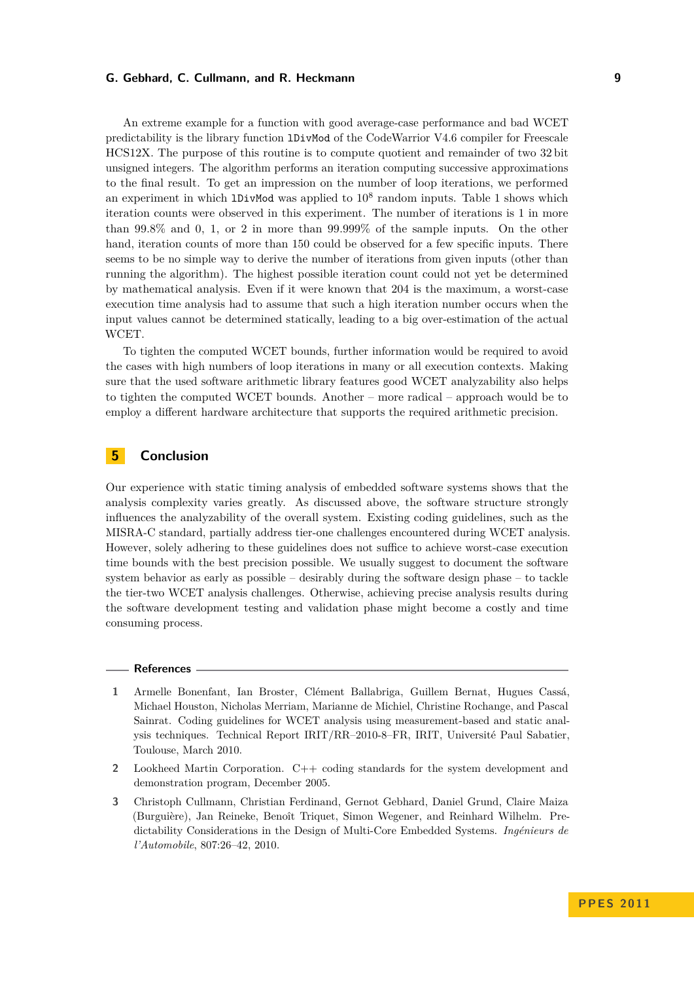An extreme example for a function with good average-case performance and bad WCET predictability is the library function lDivMod of the CodeWarrior V4.6 compiler for Freescale HCS12X. The purpose of this routine is to compute quotient and remainder of two 32 bit unsigned integers. The algorithm performs an iteration computing successive approximations to the final result. To get an impression on the number of loop iterations, we performed an experiment in which  $1$ DivMod was applied to  $10^8$  random inputs. Table [1](#page-7-0) shows which iteration counts were observed in this experiment. The number of iterations is 1 in more than 99.8% and 0, 1, or 2 in more than 99.999% of the sample inputs. On the other hand, iteration counts of more than 150 could be observed for a few specific inputs. There seems to be no simple way to derive the number of iterations from given inputs (other than running the algorithm). The highest possible iteration count could not yet be determined by mathematical analysis. Even if it were known that 204 is the maximum, a worst-case execution time analysis had to assume that such a high iteration number occurs when the input values cannot be determined statically, leading to a big over-estimation of the actual WCET.

To tighten the computed WCET bounds, further information would be required to avoid the cases with high numbers of loop iterations in many or all execution contexts. Making sure that the used software arithmetic library features good WCET analyzability also helps to tighten the computed WCET bounds. Another – more radical – approach would be to employ a different hardware architecture that supports the required arithmetic precision.

# <span id="page-8-1"></span>**5 Conclusion**

Our experience with static timing analysis of embedded software systems shows that the analysis complexity varies greatly. As discussed above, the software structure strongly influences the analyzability of the overall system. Existing coding guidelines, such as the MISRA-C standard, partially address tier-one challenges encountered during WCET analysis. However, solely adhering to these guidelines does not suffice to achieve worst-case execution time bounds with the best precision possible. We usually suggest to document the software system behavior as early as possible – desirably during the software design phase – to tackle the tier-two WCET analysis challenges. Otherwise, achieving precise analysis results during the software development testing and validation phase might become a costly and time consuming process.

#### **References**

- <span id="page-8-2"></span>**1** Armelle Bonenfant, Ian Broster, Clément Ballabriga, Guillem Bernat, Hugues Cassá, Michael Houston, Nicholas Merriam, Marianne de Michiel, Christine Rochange, and Pascal Sainrat. Coding guidelines for WCET analysis using measurement-based and static analysis techniques. Technical Report IRIT/RR–2010-8–FR, IRIT, Université Paul Sabatier, Toulouse, March 2010.
- <span id="page-8-3"></span>**2** Lookheed Martin Corporation. C++ coding standards for the system development and demonstration program, December 2005.
- <span id="page-8-0"></span>**3** Christoph Cullmann, Christian Ferdinand, Gernot Gebhard, Daniel Grund, Claire Maiza (Burguière), Jan Reineke, Benoît Triquet, Simon Wegener, and Reinhard Wilhelm. Predictability Considerations in the Design of Multi-Core Embedded Systems. *Ingénieurs de l'Automobile*, 807:26–42, 2010.